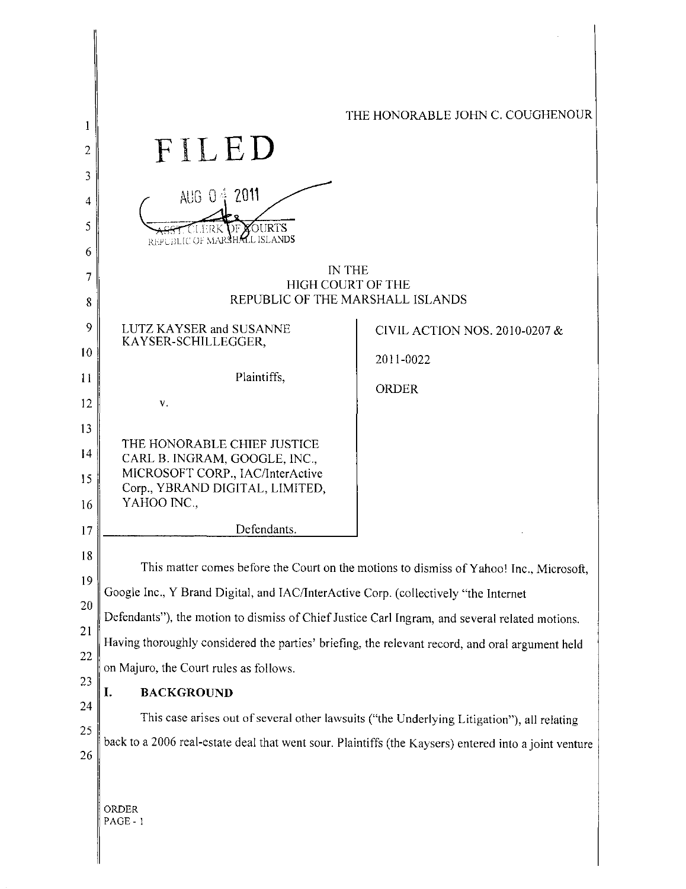| 1<br>2<br>3<br>4<br>5                                                                 | FILED<br>AUG 04 2011<br><b>DFXOURTS</b><br>CLERK<br>REPUBLIC OF MARSHALL ISLANDS                                                                                                                                                                                                                                                                                                                                                                                                                                                                                               | THE HONORABLE JOHN C. COUGHENOUR                                                                                                                      |
|---------------------------------------------------------------------------------------|--------------------------------------------------------------------------------------------------------------------------------------------------------------------------------------------------------------------------------------------------------------------------------------------------------------------------------------------------------------------------------------------------------------------------------------------------------------------------------------------------------------------------------------------------------------------------------|-------------------------------------------------------------------------------------------------------------------------------------------------------|
| 6<br>7<br>8                                                                           | <b>IN THE</b><br><b>HIGH COURT OF THE</b><br>REPUBLIC OF THE MARSHALL ISLANDS                                                                                                                                                                                                                                                                                                                                                                                                                                                                                                  |                                                                                                                                                       |
| 9<br>10<br>11<br>12<br>13<br>14<br>15<br>16<br>17<br>18<br>19<br>20<br>21<br>22<br>23 | LUTZ KAYSER and SUSANNE<br>KAYSER-SCHILLEGGER,<br>Plaintiffs,<br>v.<br>THE HONORABLE CHIEF JUSTICE<br>CARL B. INGRAM, GOOGLE, INC.,<br>MICROSOFT CORP., IAC/InterActive<br>Corp., YBRAND DIGITAL, LIMITED,<br>YAHOO INC.,<br>Defendants.<br>Google Inc., Y Brand Digital, and IAC/InterActive Corp. (collectively "the Internet<br>Defendants"), the motion to dismiss of Chief Justice Carl Ingram, and several related motions.<br>Having thoroughly considered the parties' briefing, the relevant record, and oral argument held<br>on Majuro, the Court rules as follows. | CIVIL ACTION NOS. 2010-0207 &<br>2011-0022<br><b>ORDER</b><br>This matter comes before the Court on the motions to dismiss of Yahoo! Inc., Microsoft, |
| 24<br>25<br>26                                                                        | <b>BACKGROUND</b><br>I.<br>This case arises out of several other lawsuits ("the Underlying Litigation"), all relating<br>back to a 2006 real-estate deal that went sour. Plaintiffs (the Kaysers) entered into a joint venture<br>ORDER<br>PAGE - 1                                                                                                                                                                                                                                                                                                                            |                                                                                                                                                       |

 $\overline{\phantom{a}}$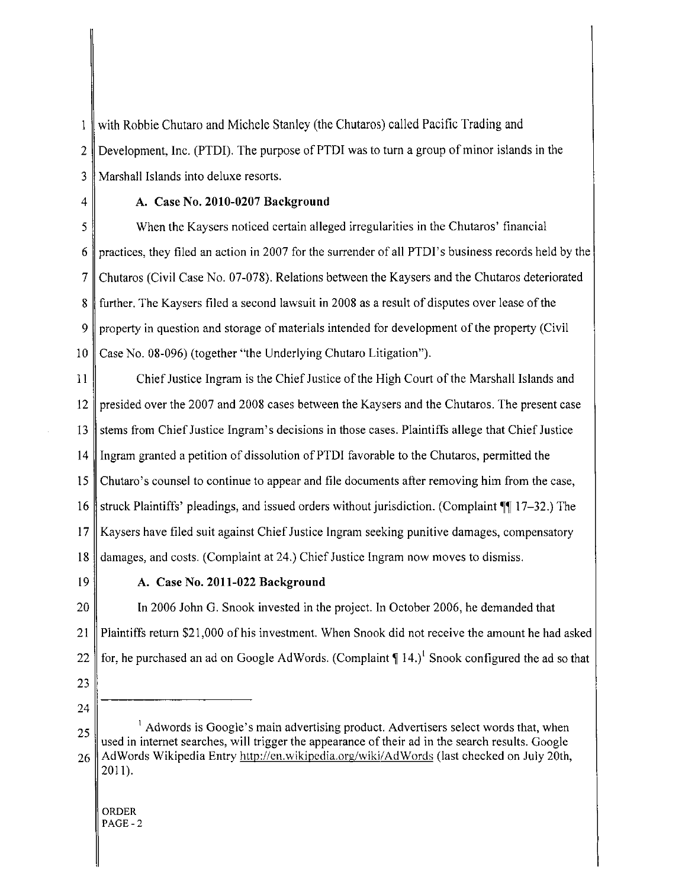with Robbie Chutaro and Michele Stanley (the Chutaros) called Pacific Trading and  $\mathbf{1}$ 2 Development, Inc. (PTDI). The purpose of PTDI was to turn a group of minor islands in the 3 Marshall Islands into deluxe resorts.

#### $4 \parallel$  A. Case No. 2010-0207 Background

5 When the Kaysers noticed certain alleged irregularities in the Chutaros' financial 6 practices, they filed an action in 2007 for the surrender of all PTDI's business records held by the 7 Chutaros (Civil Case No. 07-078). Relations between the Kaysers and the Chutaros deteriorated 8 further. The Kaysers filed a second lawsuit in 2008 as a result of disputes over lease of the 9 property in question and storage of materials intended for development of the property (Civil 10 Case No. 08-096) (together "the Underlying Chutaro Litigation").

II Chief Justice Ingram is the Chief Justice of the High Court of the Marshall Islands and 12 presided over the 2007 and 2008 cases between the Kaysers and the Chutaros. The present case 13 stems from Chief Justice Ingram's decisions in those cases. Plaintiffs allege that Chief Justice 14 Ingram granted a petition of dissolution of PTD! favorable to the Chutaros, permitted the 15 Chutaro's counsel to continue to appear and file documents after removing him from the case, 16 struck Plaintiffs' pleadings, and issued orders without jurisdiction. (Complaint  $\P$  17-32.) The 17 Kaysers have filed suit against Chief Justice Ingram seeking punitive damages, compensatory 18 damages, and costs. (Complaint at 24.) Chief Justice Ingram now moves to dismiss.

### 19 A. Case No. 2011-022 Background

20 In 2006 John G. Snook invested in the project. In October 2006, he demanded that 21 Plaintiffs return \$21,000 of his investment. When Snook did not receive the amount he had asked 22 for, he purchased an ad on Google AdWords. (Complaint  $\P$  14.)<sup>1</sup> Snook configured the ad so that

- 23
- 24

 $25$   $\parallel$   $\parallel$  Adwords is Google's main advertising product. Advertisers select words that, when used in internet searches, will trigger the appearance of their ad in the search results. Google 26 AdWords Wikipedia Entry http://en.wikipedia.org/wiki/AdWords (last checked on July 20th, 2011).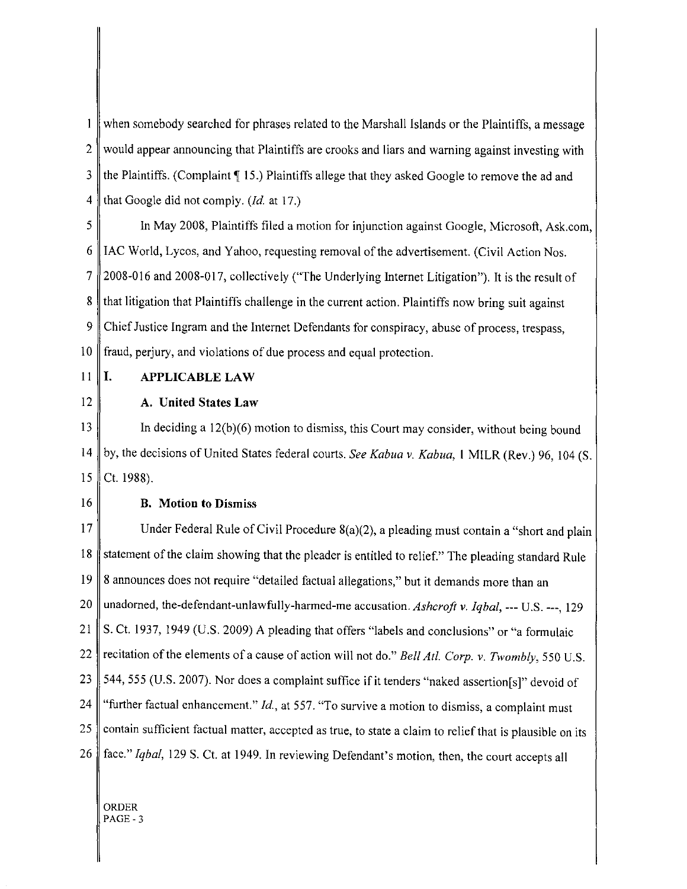when somebody searched for phrases related to the Marshall Islands or the Plaintiffs, a message  $\mathbf{1}$ 2 would appear announcing that Plaintiffs are crooks and liars and warning against investing with  $3 \parallel$  the Plaintiffs. (Complaint  $\P$  15.) Plaintiffs allege that they asked Google to remove the ad and 4 that Google did not comply. *(Id.* at 17.)

5 In May 2008, Plaintiffs filed a motion for injunction against Google, Microsoft, Ask.com,  $6 \parallel$  IAC World, Lycos, and Yahoo, requesting removal of the advertisement. (Civil Action Nos. 7 2008-016 and 2008-017, collectively ("The Underlying Internet Litigation"). It is the result of 8 that litigation that Plaintiffs challenge in the current action. Plaintiffs now bring suit against 9 Chief Justice Ingram and the Internet Defendants for conspiracy, abuse of process, trespass, 10 fraud, perjury, and violations of due process and equal protection.

11 | I. APPLICABLE LAW

# 12 A. United States Law

13 In deciding a 12(b)(6) motion to dismiss, this Court may consider, without being bound 14 by, the decisions of United States federal courts. *See Kabua* v. *Kabua,* I MILR (Rev.) 96, \04 (S. 15 Ct. 1988).

## 16 B. Motion to Dismiss

17 Under Federal Rule of Civil Procedure  $8(a)(2)$ , a pleading must contain a "short and plain 18 statement of the claim showing that the pleader is entitled to relief." The pleading standard Rule 19 8 announces does not require "detailed factual allegations," but it demands more than an 20 unadorned, the-defendant-unlawfully-harmed-me accusation. *Ashcroft* v. *Iqbal,* --- U.S. ---, 129 21 S. Ct. 1937, 1949 (U.S. 2009) A pleading that offers "labels and conclusions" or "a formulaic 22 recitation of the elements ofa cause of action will not do." *Bell At!. Corp.* v. *Twombly,* 550 U.S. 23 544, 555 (U.S. 2007). Nor does a complaint suffice if it tenders "naked assertion [s]" devoid of 24 "further factual enhancement." *Id.,* at 557. "To survive a motion to dismiss, a complaint must 25 contain sufficient factual matter, accepted as true, to state a claim to relief that is plausible on its 26 face." *Iqbal,* 129 S. Ct. at 1949. In reviewing Defendant's motion, then, the court accepts all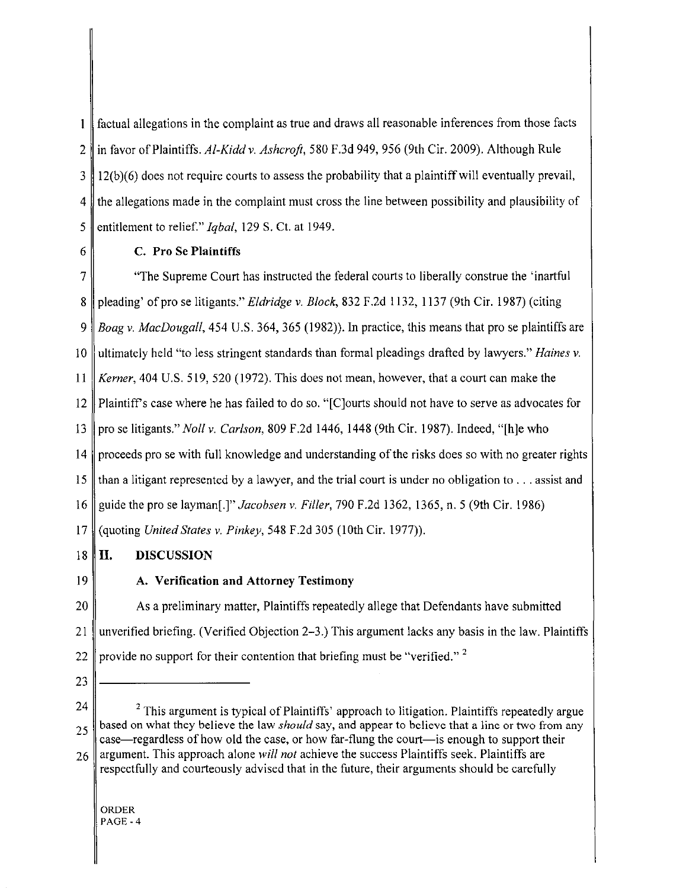$\mathbf{1}$ factual allegations in the complaint as true and draws all reasonable inferences from those facts 2 in favor of Plaintiffs. *Al-Kidd* v. *Ashcroft,* 580 F.3d 949, 956 (9th Cir. 2009). Although Rule  $3 \parallel 12(b)(6)$  does not require courts to assess the probability that a plaintiff will eventually prevail, 4 the allegations made in the complaint must cross the line between possibility and plausibility of 5 entitlement to relief." *Iqbal,* 129 S. Ct. at 1949.

## 6 C. Pro Se Plaintiffs

7 "The Supreme Court has instructed the federal courts to liberally construe the 'inartful 8 pleading' of pro se litigants." *Eldridge* v. *Block,* 832 F.2d 1132, I \37 (9th Cir. 1987) (citing *9 Boag* v. *MacDougall,* 454 U.S. 364, 365 (1982)). In practice, this means that pro se plaintiffs are 10 ultimately held "to less stringent standards than formal pleadings drafted by lawyers." *Haines* v. II *Kerner,* 404 U.S. 519, 520 (1972). This does not mean, however, that a court can make the 12 Plaintiffs case where he has failed to do so. "[C]ourts should not have to serve as advocates for 13 pro se litigants." *Noll* v. *Carlson,* 809 F.2d 1446, 1448 (9th Cir. 1987). Indeed, "[h]e who 14 proceeds pro se with full knowledge and understanding of the risks does so with no greater rights 15 than a litigant represented by a lawyer, and the trial court is under no obligation to ... assist and 16 guide the pro se layman[.]" *Jacobsen* v. *Filler,* 790 F.2d 1362, 1365, n. 5 (9th Cir. 1986) 17 (quoting *United States* v. *Pinkey,* 548 F.2d 305 (10th Cir. 1977)).

#### 18 II. DISCUSSION

19

## A. Verification and Attorney Testimony

20 As a preliminary matter, Plaintiffs repeatedly allege that Defendants have submitted 21 unverified briefing. (Verified Objection 2-3.) This argument lacks any basis in the law. Plaintiffs 22 provide no support for their contention that briefing must be "verified."<sup>2</sup>

23

 $24$   $\parallel$  <sup>2</sup> This argument is typical of Plaintiffs' approach to litigation. Plaintiffs repeatedly argue  $25$  based on what they believe the law *should* say, and appear to believe that a line or two from any case—regardless of how old the case, or how far-flung the court—is enough to support their 26 argument. This approach alone *will not* achieve the success Plaintiffs seek. Plaintiffs are

respectfully and courteously advised that in the future, their arguments should be carefully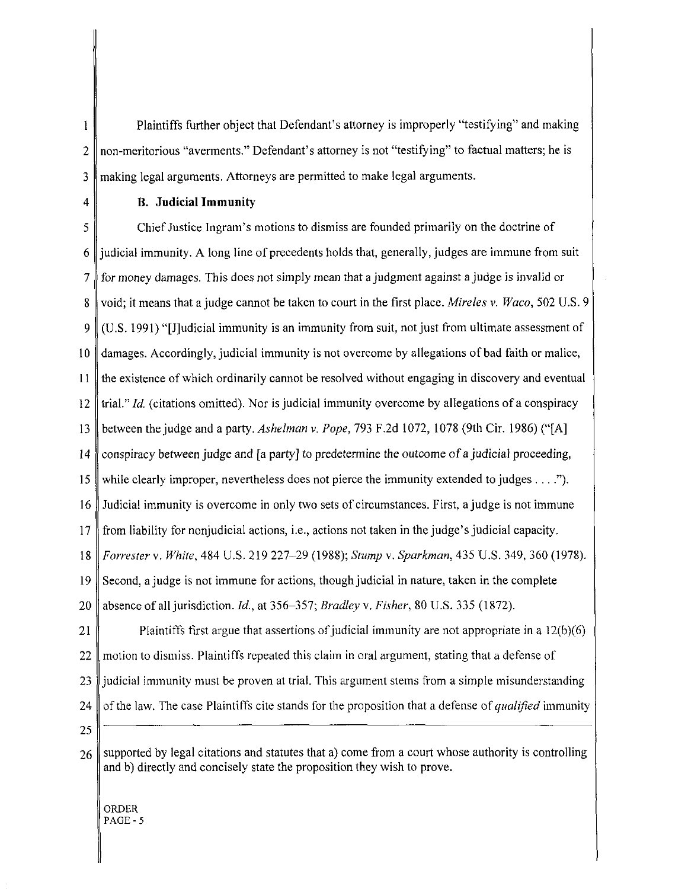$\mathbf{1}$ Plaintiffs further object that Defendant's attorney is improperly "testifying" and making  $2 \parallel$  non-meritorious "averments." Defendant's attorney is not "testifying" to factual matters; he is 3 making legal arguments. Attorneys are permitted to make legal arguments.

#### 4 **B. Judicial Immunity**

5 Chief Justice Ingram's motions to dismiss are founded primarily on the doctrine of  $6 \parallel$  judicial immunity. A long line of precedents holds that, generally, judges are immune from suit 7 for money damages. This does not simply mean that a judgment against a judge is invalid or 8 void; it means that ajudge cannot be taken to court in the first place. *Mireles* v. *Waco,* 502 U.S. 9 9 (U.S. 1991) "[J]udicial immunity is an immunity from suit, not just from ultimate assessment of 10 damages. Accordingly, judicial immunity is not overcome by allegations of bad faith or malice, 11 the existence of which ordinarily cannot be resolved without engaging in discovery and eventual 12 trial." *Id.* (citations omitted). Nor is judicial immunity overcome by allegations of a conspiracy 13 between the judge and a party. *Ashelman* v. *Pope,* 793 F.2d 1072, 1078 (9th Cir. 1986) ("[A] 14 conspiracy between judge and [a party] to predetermine the outcome of a judicial proceeding, 15 while clearly improper, nevertheless does not pierce the immunity extended to judges  $\dots$ ."). 16 Judicial immunity is overcome in only two sets of circumstances. First, a judge is not immune 17 from liability for nonjudicial actions, i.e., actions not taken in the judge's judicial capacity. *18 Forrester* v. *White,* 484 U.S. 219 227-29 (1988); *Stump* v. *Sparkman,* 435 U.S. 349, 360 (1978). 19 Second, a judge is not immune for actions, though judicial in nature, taken in the complete 20 absence of all jurisdiction. *Id.,* at 356--357; *Bradley* v. *Fisher,* 80 U.S. 335 (1872). 21 Plaintiffs first argue that assertions of judicial immunity are not appropriate in a  $12(b)(6)$ 

22 motion to dismiss. Plaintiffs repeated this claim in oral argument, stating that a defense of 23 judicial immunity must be proven at trial. This argument stems from a simple misunderstanding 24 of the law. The case Plaintiffs cite stands for the proposition that a defense of *qualified* immunity

25

 $26$  supported by legal citations and statutes that a) come from a court whose authority is controlling and b) directly and concisely state the proposition they wish to prove.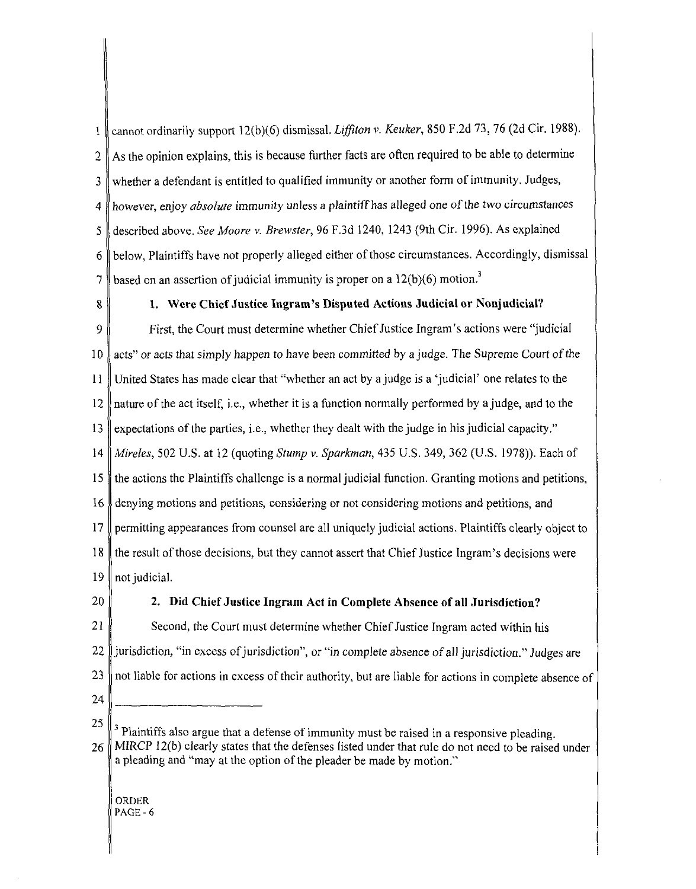1 cannot ordinarily support 12(b )(6) dismissal. *Liffiton* v. *Keuker,* 850 F .2d 73, 76 (2d Cir. 1988). 2 As the opinion explains, this is because further facts are often required to be able to determine  $3 \parallel$  whether a defendant is entitled to qualified immunity or another form of immunity. Judges, 4 however, enjoy *absolute* immunity unless a plaintiff *has* alleged one ofthe two circumstances 5 described above. *See Moore v. Brewster,* 96 F.3d 1240,1243 (9th Cir. 1996). As explained 6 below, Plaintiffs have not properly alleged either of those circumstances. Accordingly, dismissal 7  $\parallel$  based on an assertion of judicial immunity is proper on a 12(b)(6) motion.<sup>3</sup>

#### 8 1. Were Chief Justice Ingram's Disputed Actions Judicial or Nonjudicial?

9 First, the Court must determine whether Chief Justice Ingram's actions were "judicial 10 acts" or acts that simply happen to have been committed by a judge. The Supreme Court of the 11 United States has made clear that "whether an act by a judge is a 'judicial' one relates to the 12 nature of the act itself, i.e., whether it is a function normally performed by ajudge, and to the 13 expectations of the parties, i.e., whether they dealt with the judge in his judicial capacity." *14 Mireles,* 502 U.S. at 12 (quoting *Stump* v. *Sparkman,* 435 U.S. 349, 362 (U.S. 1978». Each of 15 the actions the Plaintiffs challenge is a normal judicial function. Granting motions and petitions, 16 denying motions and petitions, considering or not considering motions and petitions, and 17 permitting appearances from counsel are all uniquely judicial actions. Plaintiffs clearly object to 18 the result of those decisions, but they cannot assert that Chief Justice Ingram's decisions were 19 || not judicial.

#### 20 **2.** Did Chief Justice Ingram Act in Complete Absence of all Jurisdiction?

21 Second, the Court must determine whether Chief Justice Ingram acted within his 22 jurisdiction, "in excess of jurisdiction", or "in complete absence of all jurisdiction." Judges are  $23$  not liable for actions in excess of their authority, but are liable for actions in complete absence of

24

25 <sup>3</sup> Plaintiffs also argue that a defense of immunity must be raised in a responsive pleading.  $26$  MIRCP 12(b) clearly states that the defenses listed under that rule do not need to be raised under a pleading and "may at the option of the pleader be made by motion."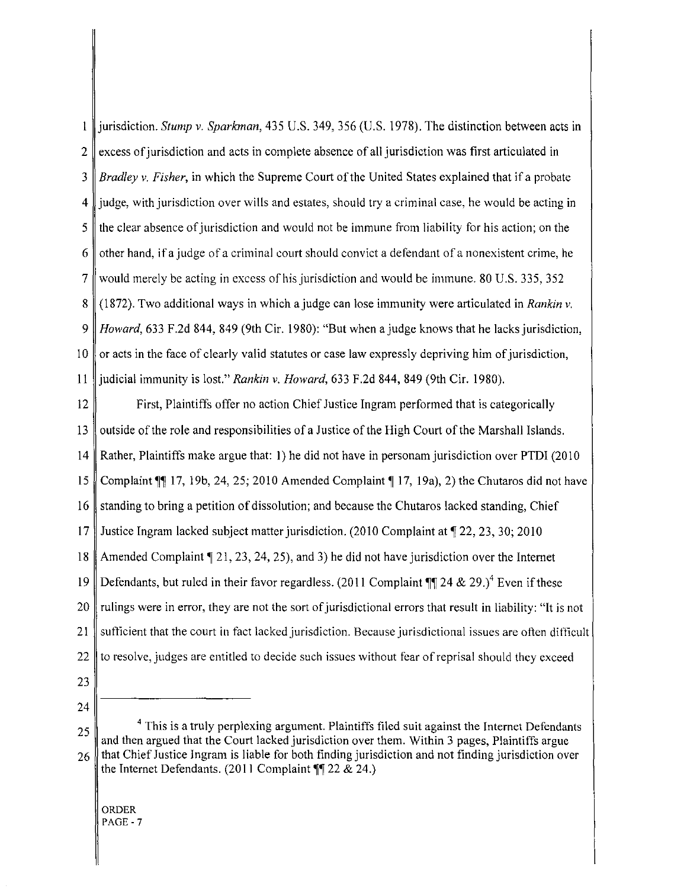jurisdiction. *Stump* v. *Sparkman,* 435 U.S. 349, 356 (U.S. 1978). The distinction between acts in  $\mathbf{I}$  $2 \parallel$  excess of jurisdiction and acts in complete absence of all jurisdiction was first articulated in *3 Bradley* v. *Fisher,* in which the Supreme Court ofthe United States explained that if a probate 4 judge, with jurisdiction over wills and estates, should try a criminal case, he would be acting in 5 the clear absence of jurisdiction and would not be immune from liability for his action; on the 6 other hand, if a judge of a criminal court should convict a defendant of a nonexistent crime, he 7 would merely be acting in excess of his jurisdiction and would be immune. 80 U.S. 335, 352 8 (1872). Two additional ways in which a judge can lose immunity were articulated in *Rankin* v. *9 Howard,* 633 F.2d 844, 849 (9th Cir. 1980): "But when ajudge knows that he lacks jurisdiction, 10  $\parallel$  or acts in the face of clearly valid statutes or case law expressly depriving him of jurisdiction, 11 judicial immunity is lost." *Rankin* v. *Howard,* 633 F.2d 844, 849 (9th Cir. 1980).

12 First, Plaintiffs offer no action Chief Justice Ingram performed that is categorically 13 outside of the role and responsibilities of a Justice of the High Court of the Marshall Islands. 14 Rather, Plaintiffs make argue that: 1) he did not have in personam jurisdiction over PTDI (2010 15 Complaint  $\llbracket$  17, 19b, 24, 25; 2010 Amended Complaint  $\llbracket$  17, 19a), 2) the Chutaros did not have 16 standing to bring a petition of dissolution; and because the Chutaros lacked standing, Chief 17 Justice Ingram lacked subject matter jurisdiction. (2010 Complaint at 122, 23, 30; 2010 18 Amended Complaint  $\llbracket 21, 23, 24, 25$ , and 3) he did not have jurisdiction over the Internet 19 Defendants, but ruled in their favor regardless. (2011 Complaint  $\P$  24 & 29.)<sup>4</sup> Even if these 20 Tulings were in error, they are not the sort of jurisdictional errors that result in liability: "It is not 21 sufficient that the court in fact lacked jurisdiction. Because jurisdictional issues are often difficult 22 to resolve, judges are entitled to decide such issues without fear of reprisal should they exceed

- 23
- 24

<sup>25</sup>  $\parallel$  <sup>4</sup> This is a truly perplexing argument. Plaintiffs filed suit against the Internet Defendants and then argued that the Court lacked jurisdiction over them. Within 3 pages, Plaintiffs argue  $26$  that Chief Justice Ingram is liable for both finding jurisdiction and not finding jurisdiction over the Internet Defendants.  $(2011$  Complaint  $\P$  22 & 24.)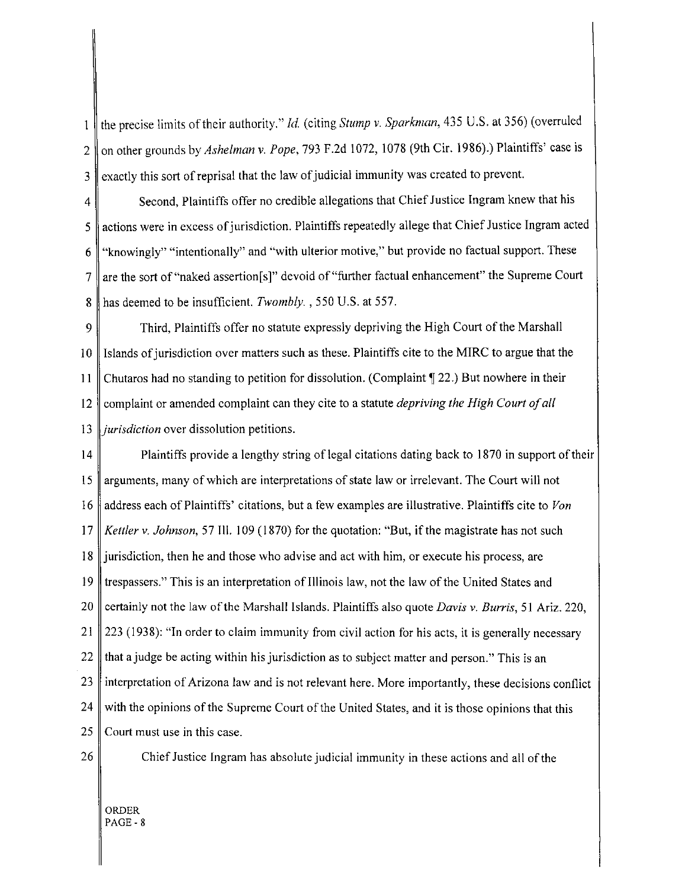the precise limits oftheir authority." *Id.* (citing *Stump* v. *Sparkman,* 435 U.S. at 356) (overruled  $\mathbf{1}$ 2 || on other grounds by *Ashelman v. Pope*, 793 F.2d 1072, 1078 (9th Cir. 1986).) Plaintiffs' case is  $3$   $\parallel$  exactly this sort of reprisal that the law of judicial immunity was created to prevent.

 $4 \parallel$  Second, Plaintiffs offer no credible allegations that Chief Justice Ingram knew that his 5 actions were in excess of jurisdiction. Plaintiffs repeatedly allege that Chief Justice Ingram acted 6 "knowingly" "intentionally" and "with ulterior motive," but provide no factual support. These 7 are the sort of "naked assertion[s]" devoid of "further factual enhancement" the Supreme Court 8 has deemed to be insufficient. *Twombly.* , 550 U.S. at 557.

9 Third, Plaintiffs offer no statute expressly depriving the High Court of the Marshall 10 Islands of jurisdiction over matters such as these. Plaintiffs cite to the MIRC to argue that the **II** Chutaros had no standing to petition for dissolution. (Complaint '\122.) But nowhere in their 12 complaint or amended complaint can they cite to a statute *depriving the High Court of all*  13 *jurisdiction* over dissolution petitions.

14 Plaintiffs provide a lengthy string of legal citations dating back to 1870 in support of their 15 arguments, many of which are interpretations of state law or irrelevant. The Court will not 16 address each of Plaintiffs' citations, but a few examples are illustrative. Plaintiffs cite to *Von 17 Kettler* v. *Johnson,* 57 Ill. 109 (1870) for the quotation: "But, if the magistrate has not such 18 jurisdiction, then he and those who advise and act with him, or execute his process, are 19 trespassers." This is an interpretation of Illinois law, not the law of the United States and 20 certainly not the law ofthe Marshall Islands. Plaintiffs also quote *Davis* v. *Burris,* 51 Ariz. 220, 21 223 (1938): "In order to claim immunity from civil action for his acts, it is generally necessary 22  $\parallel$  that a judge be acting within his jurisdiction as to subject matter and person." This is an  $23$  interpretation of Arizona law and is not relevant here. More importantly, these decisions conflict  $24$  with the opinions of the Supreme Court of the United States, and it is those opinions that this  $25$  Court must use in this case.

26 Chief Justice Ingram has absolute judicial immunity in these actions and all of the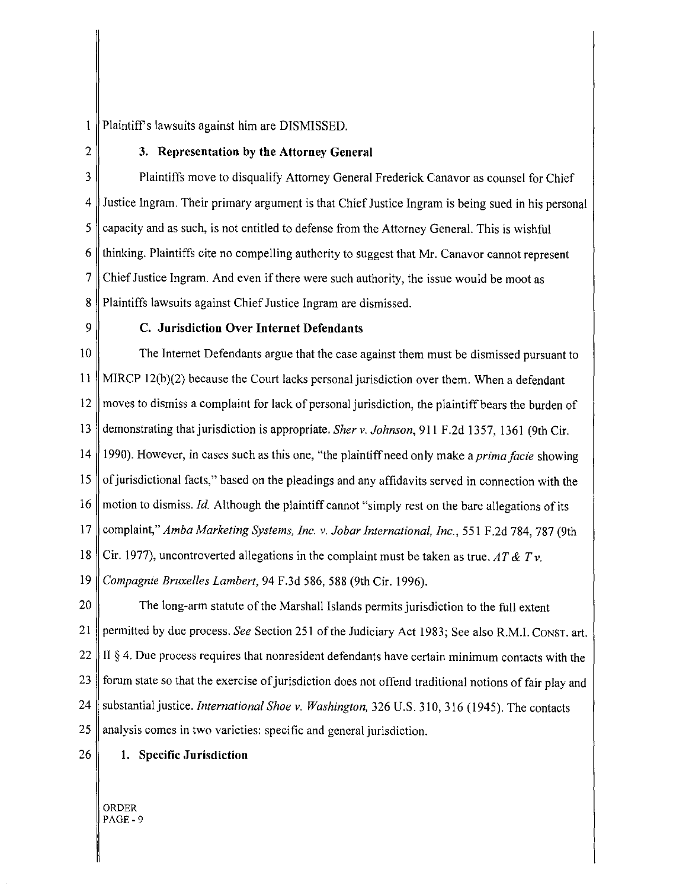$\mathbf{1}$ Plaintiff's lawsuits against him are DISMISSED.

## $2 \parallel$  3. Representation by the Attorney General

3 Plaintiffs move to disqualify Attorney General Frederick Canavor as counsel for Chief 4 Justice Ingram. Their primary argument is that Chief Justice Ingram is being sued in his personal  $5 \parallel$  capacity and as such, is not entitled to defense from the Attorney General. This is wishful  $6$   $\parallel$  thinking. Plaintiffs cite no compelling authority to suggest that Mr. Canavor cannot represent 7 Chief Justice Ingram. And even if there were such authority, the issue would be moot as 8 Plaintiffs lawsuits against Chief Justice Ingram are dismissed.

## $9 \parallel$  C. Jurisdiction Over Internet Defendants

10 The Internet Defendants argue that the case against them must be dismissed pursuant to II MIRCP 12(b)(2) because the Court lacks personal jurisdiction over them. When a defendant 12 moves to dismiss a complaint for lack of personal jurisdiction, the plaintiff bears the burden of 13 demonstrating that jurisdiction is appropriate. *Sher* v. *Johnson,* 911 F.2d 1357, 1361 (9th Cir. 14 1990). However, in cases such as this one, "the plaintiff need only make *aprimafacie* showing 15  $\parallel$  of jurisdictional facts," based on the pleadings and any affidavits served in connection with the 16 motion to dismiss. *Id.* Although the plaintiff cannot "simply rest on the bare allegations of its 17 complaint," *Amba Marketing Systems, Inc.* v. *Jobar International, Inc.,* 551 F .2d 784, 787 (9th 18 Cir. 1977), uncontroverted allegations in the complaint must be taken as true. *AT* & *Tv. 19 Compagnie Bruxelles Lambert,* 94 F.3d 586, 588 (9th Cir. 1996).

20 The long-arm statute of the Marshall Islands permits jurisdiction to the full extent 21 permitted by due process. *See* Section 251 of the Judiciary Act 1983; See also R.M.!. CONST. art. 22 II  $\beta$  4. Due process requires that nonresident defendants have certain minimum contacts with the 23 forum state so that the exercise of jurisdiction does not offend traditional notions of fair play and 24 Substantial justice. *International Shoe v. Washington*, 326 U.S. 310, 316 (1945). The contacts  $25$  || analysis comes in two varieties: specific and general jurisdiction.

26 **1.** Specific Jurisdiction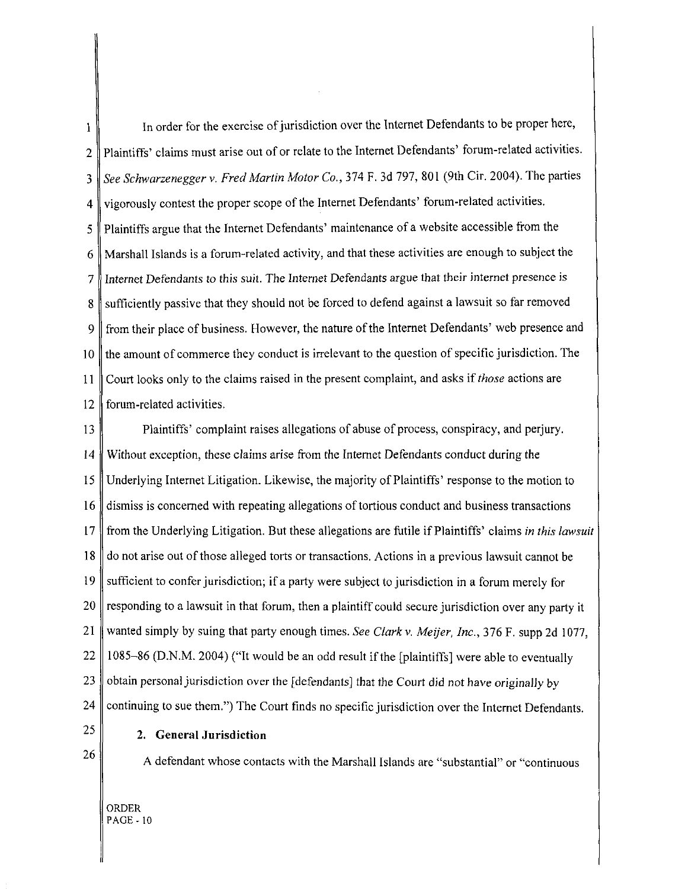1 In order for the exercise of jurisdiction over the Internet Defendants to be proper here, 2 Plaintiffs' claims must arise out of or relate to the Internet Defendants' forum-related activities. 3 *See Schwarzenegger* v. *Fred Martin Motor Co.,* 374 F. 3d 797,801 (9th Cir. 2004). The parties 4 vigorously contest the proper scope of the Internet Defendants' forum-related activities. 5 Plaintiffs argue that the Internet Defendants' maintenance of a website accessible trom the 6 Marshall Islands is a forum-related activity, and that these activities are enough to subject the 7 Internet Defendants to this suit. The Internet Defendants argue that their internet presence is 8 sufficiently passive that they should not be forced to defend against a lawsuit so far removed 9 from their place of business. However, the nature of the Internet Defendants' web presence and  $10 \parallel$  the amount of commerce they conduct is irrelevant to the question of specific jurisdiction. The 11 Court looks only to the claims raised in the present complaint, and asks if *those* actions are 12 forum-related activities.

13 Plaintiffs' complaint raises allegations of abuse of process, conspiracy, and perjury. 14 Without exception, these claims arise from the Internet Defendants conduct during the 15 Underlying Internet Litigation. Likewise, the majority of Plaintiffs' response to the motion to 16 dismiss is concerned with repeating allegations oftortious conduct and business transactions 17 from the Underlying Litigation. But these allegations are futile if Plaintiffs' claims *in this lawsuit*  18 do not arise out of those alleged torts or transactions. Actions in a previous lawsuit cannot be 19 sufficient to confer jurisdiction; if a party were subject to jurisdiction in a forum merely for  $20 \parallel$  responding to a lawsuit in that forum, then a plaintiff could secure jurisdiction over any party it 21 wanted simply by suing that party enough times. *See Clarkv. Meijer, Inc.,* 376 F. supp 2d 1077, 22 || 1085-86 (D.N.M. 2004) ("It would be an odd result if the [plaintiffs] were able to eventually 23  $\parallel$  obtain personal jurisdiction over the [defendants] that the Court did not have originally by 24 continuing to sue them.") The Court finds no specific jurisdiction over the Internet Defendants.

25 26

## 2. **General Jnrisdiction**

A defendant whose contacts with the Marshall Islands are "substantial" or "continuous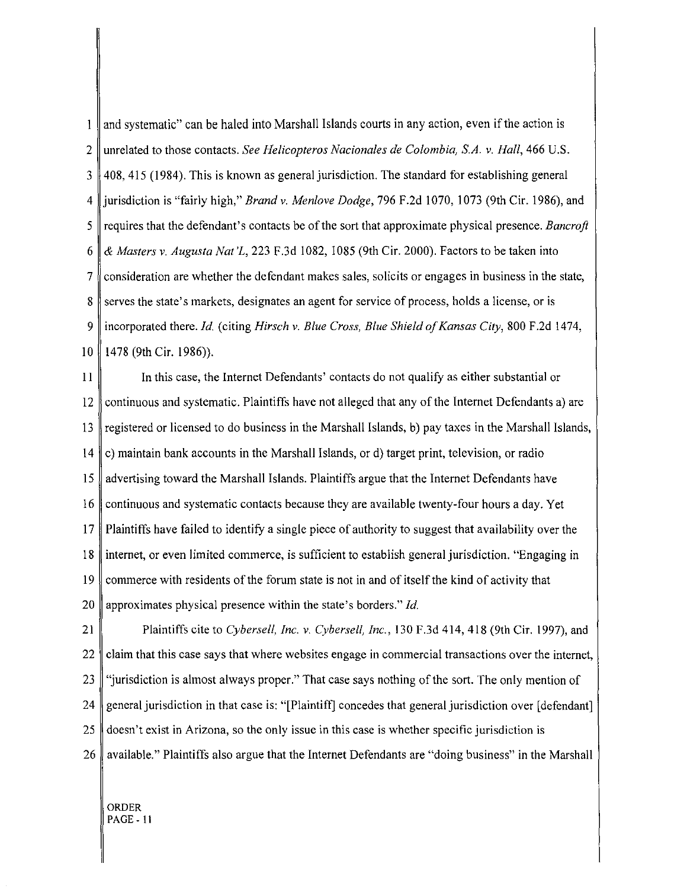$\mathbf{1}$ and systematic" can be haled into Marshall Islands courts in any action, even if the action is 2 unrelated to those contacts. *See Helicopteros Nacionales de Colombia, S.A.* v. *Hall,* 466 U.S. 3 408,415 (1984). This is known as general jurisdiction. The standard for establishing general 4 jurisdiction is "fairly high," *Brand* v. *Menlove Dodge,* 796 F.2d 1070, 1073 (9th Cir. 1986), and 5 requires that the defendant's contacts be of the sort that approximate physical presence. *Bancroft*  6 & *Masters* v. *Augusta Nat'L,* 223 F.3d 1082, 1085 (9th Cir. 2000). Factors to be taken into 7 consideration are whether the defendant makes sales, solicits or engages in business in the state, 8 serves the state's markets, designates an agent for service of process, holds a license, or is 9 incorporated there. *Id.* (citing *Hirsch* v. *Blue Cross, Blue Shield of Kansas City,* 800 F.2d 1474, 10 | 1478 (9th Cir. 1986)).

II In this case, the Internet Defendants' contacts do not qualify as either substantial or 12 continuous and systematic. Plaintiffs have not alleged that any of the Internet Defendants a) are 13 registered or licensed to do business in the Marshall Islands, b) pay taxes in the Marshall Islands, 14 c) maintain bank accounts in the Marshall Islands, or d) target print, television, or radio 15 advertising toward the Marshall Islands. Plaintiffs argue that the Internet Defendants have 16 continuous and systematic contacts because they are available twenty-four hours a day. Yet 17 Plaintiffs have failed to identify a single piece of authority to suggest that availability over the 18 internet, or even limited commerce, is sufficient to establish general jurisdiction. "Engaging in 19 commerce with residents of the forum state is not in and of itself the kind of activity that 20 || approximates physical presence within the state's borders." *Id.* 

21 Plaintiffs cite to *Cybersell, Inc.* v. *Cybersell, Inc.,* 130 F.3d 414, 418 (9th Cir. 1997), and 22 claim that this case says that where websites engage in commercial transactions over the internet, 23 "jurisdiction is almost always proper." That case says nothing of the sort. The only mention of 24 general jurisdiction in that case is: "[Plaintift] concedes that general jurisdiction over [defendant] 25 doesn't exist in Arizona, so the only issue in this case is whether specific jurisdiction is 26 available." Plaintiffs also argue that the Internet Defendants are "doing business" in the Marshall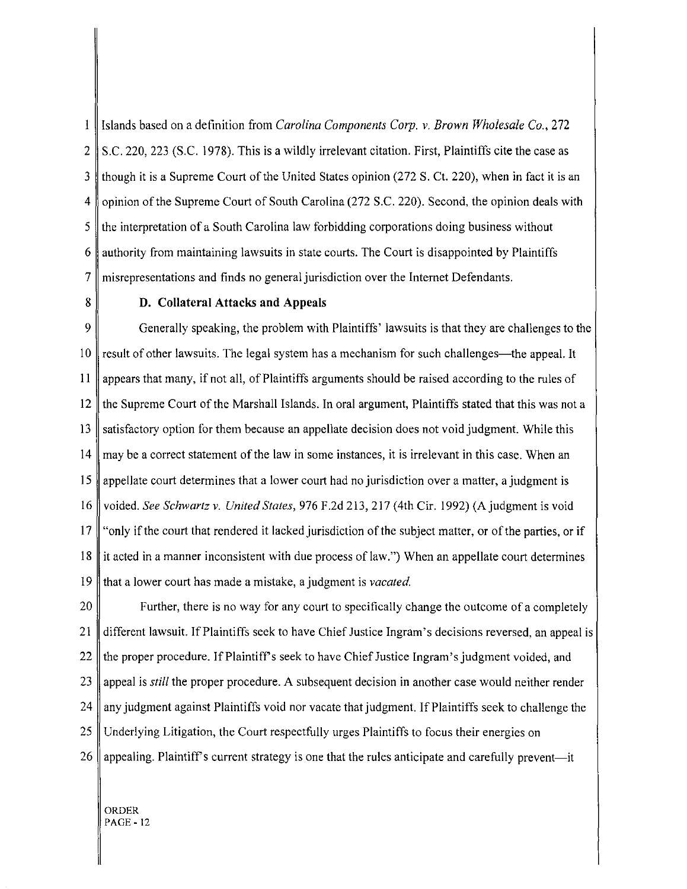$\mathbf{1}$ Islands based on a definition from *Carolina Components Corp. v. Brown Wholesale Co.,* 272 2 S.c. 220, 223 (S.C. 1978). This is a wildly irrelevant citation. First, Plaintiffs cite the case as 3 though it is a Supreme Court of the United States opinion (272 S. Ct. 220), when in fact it is an 4 opinion of the Supreme Court of South Carolina (272 S.C. 220). Second, the opinion deals with 5 the interpretation of a South Carolina law forbidding corporations doing business without 6 authority from maintaining lawsuits in state courts. The Court is disappointed by Plaintiffs 7 misrepresentations and finds no general jurisdiction over the Internet Defendants.

#### 8 D. Collateral Attacks **and** Appeals

9 Generally speaking, the problem with Plaintiffs' lawsuits is that they are challenges to the 10 result of other lawsuits. The legal system has a mechanism for such challenges—the appeal. It 11 appears that many, ifnot all, of Plaintiffs arguments should be raised according to the rules of 12 the Supreme Court of the Marshall Islands. In oral argument, Plaintiffs stated that this was not a 13 satisfactory option for them because an appellate decision does not void judgment. While this 14 may be a correct statement of the law in some instances, it is irrelevant in this case. When an 15 appellate court determines that a lower court had no jurisdiction over a matter, a judgment is 16 voided. *See Schwartz v. United States,* 976 F.2d 213, 217 (4th Cir. 1992) (A judgment is void 17 "only if the court that rendered it lacked jurisdiction of the subject matter, or of the parties, or if 18 it acted in a manner inconsistent with due process of law.") When an appellate court determines 19 that a lower court has made a mistake, a judgment is *vacated.* 

20 Further, there is no way for any court to specifically change the outcome of a completely 21 different lawsuit. If Plaintiffs seek to have Chief Justice Ingram's decisions reversed, an appeal is 22  $\parallel$  the proper procedure. If Plaintiff's seek to have Chief Justice Ingram's judgment voided, and 23 appeal is *still* the proper procedure. A subsequent decision in another case would neither render  $24$  any judgment against Plaintiffs void nor vacate that judgment. If Plaintiffs seek to challenge the 25 Underlying Litigation, the Court respectfully urges Plaintiffs to focus their energies on 26 appealing. Plaintiff's current strategy is one that the rules anticipate and carefully prevent—it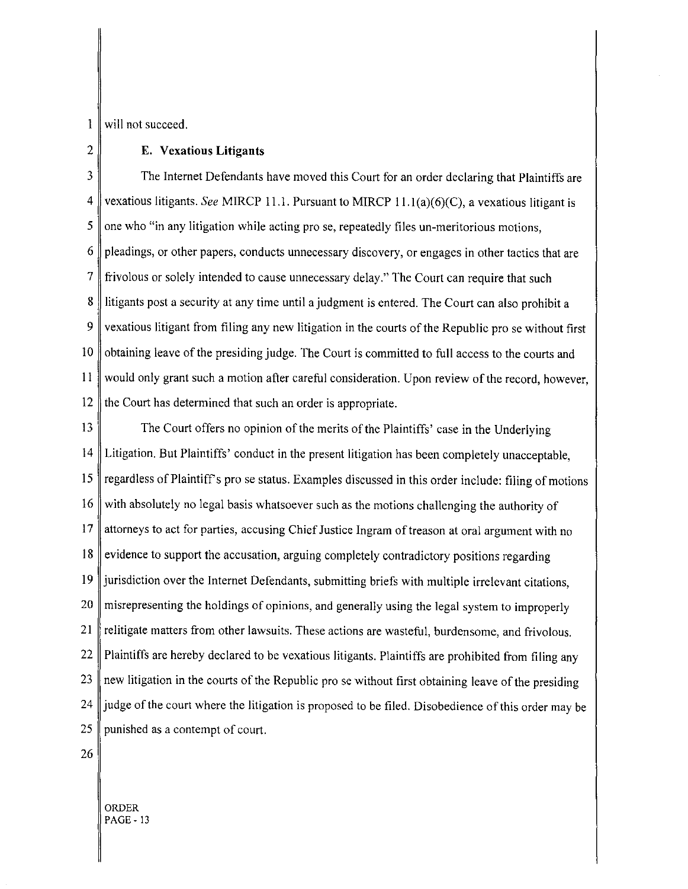1 will not succeed.

## 2 **E. Vexatious Litigants**

3 The Internet Defendants have moved this Court for an order declaring that Plaintiffs are 4 vexatious litigants. *See* MIRCP Il.l. Pursuant to MIRCP 1l.l(a)(6)(C), a vexatious litigant is 5 one who "in any litigation while acting pro se, repeatedly files un-meritorious motions,  $6 \parallel$  pleadings, or other papers, conducts unnecessary discovery, or engages in other tactics that are 7 frivolous or solely intended to cause unnecessary delay." The Court can require that such 8 litigants post a security at any time until a judgment is entered. The Court can also prohibit a 9 vexatious litigant from filing any new litigation in the courts of the Republic pro se without first  $10$  solid obtaining leave of the presiding judge. The Court is committed to full access to the courts and II would only grant such a motion after careful consideration. Upon review of the record, however, 12  $\parallel$  the Court has determined that such an order is appropriate.

13 The Court offers no opinion of the merits ofthe Plaintiffs' case **in** the Underlying 14 Litigation. But Plaintiffs' conduct in the present litigation has been completely unacceptable, 15 regardless of Plaintiff's pro se status. Examples discussed in this order include: filing of motions  $16$  with absolutely no legal basis whatsoever such as the motions challenging the authority of 17 attorneys to act for parties, accusing Chief Justice Ingram of treason at oral argument with no  $18$  evidence to support the accusation, arguing completely contradictory positions regarding 19 jurisdiction over the Internet Defendants, submitting briefs with mUltiple irrelevant citations, 20 misrepresenting the holdings of opinions, and generally using the legal system to improperly 21 relitigate matters from other lawsuits. These actions are wasteful, burdensome, and frivolous. 22 Plaintiffs are hereby declared to be vexatious litigants. Plaintiffs are prohibited from filing any  $23$  new litigation in the courts of the Republic pro se without first obtaining leave of the presiding  $24$  || judge of the court where the litigation is proposed to be filed. Disobedience of this order may be 25 punished as a contempt of court.

26